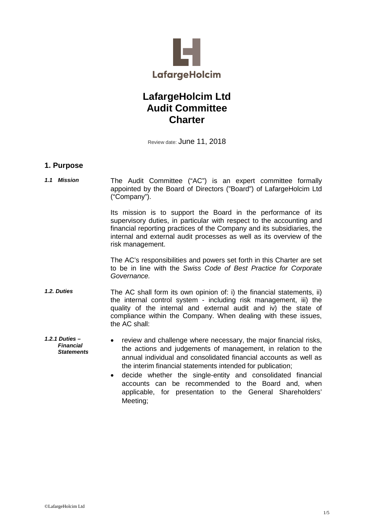

# **LafargeHolcim Ltd Audit Committee Charter**

Review date: June 11, 2018

### **1. Purpose**

*1.1 Mission* The Audit Committee ("AC") is an expert committee formally appointed by the Board of Directors ("Board") of LafargeHolcim Ltd ("Company").

> Its mission is to support the Board in the performance of its supervisory duties, in particular with respect to the accounting and financial reporting practices of the Company and its subsidiaries, the internal and external audit processes as well as its overview of the risk management.

> The AC's responsibilities and powers set forth in this Charter are set to be in line with the *Swiss Code of Best Practice for Corporate Governance.*

- *1.2. Duties* The AC shall form its own opinion of: i) the financial statements, ii) the internal control system - including risk management, iii) the quality of the internal and external audit and iv) the state of compliance within the Company. When dealing with these issues, the AC shall:
- *1.2.1 Duties – Financial Statements* • review and challenge where necessary, the major financial risks, the actions and judgements of management, in relation to the annual individual and consolidated financial accounts as well as the interim financial statements intended for publication;
	- decide whether the single-entity and consolidated financial accounts can be recommended to the Board and, when applicable, for presentation to the General Shareholders' Meeting;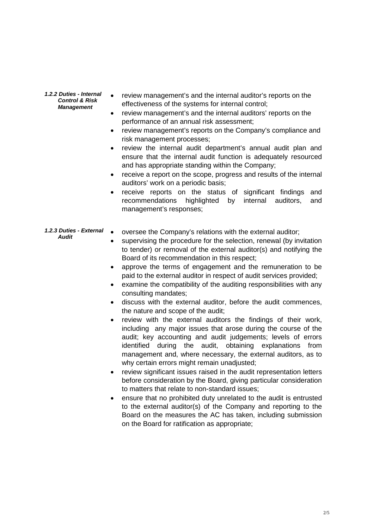*1.2.2 Duties - Internal Control & Risk Management*

- review management's and the internal auditor's reports on the effectiveness of the systems for internal control;
- review management's and the internal auditors' reports on the performance of an annual risk assessment;
- review management's reports on the Company's compliance and risk management processes;
- review the internal audit department's annual audit plan and ensure that the internal audit function is adequately resourced and has appropriate standing within the Company;
- receive a report on the scope, progress and results of the internal auditors' work on a periodic basis;
- receive reports on the status of significant findings and recommendations highlighted by internal auditors, and management's responses;
- *1.2.3 Duties - External*  • oversee the Company's relations with the external auditor;
	- supervising the procedure for the selection, renewal (by invitation to tender) or removal of the external auditor(s) and notifying the Board of its recommendation in this respect;
	- approve the terms of engagement and the remuneration to be paid to the external auditor in respect of audit services provided;
	- examine the compatibility of the auditing responsibilities with any consulting mandates;
	- discuss with the external auditor, before the audit commences, the nature and scope of the audit;
	- review with the external auditors the findings of their work, including any major issues that arose during the course of the audit; key accounting and audit judgements; levels of errors identified during the audit, obtaining explanations from management and, where necessary, the external auditors, as to why certain errors might remain unadjusted;
	- review significant issues raised in the audit representation letters before consideration by the Board, giving particular consideration to matters that relate to non-standard issues;
	- ensure that no prohibited duty unrelated to the audit is entrusted to the external auditor(s) of the Company and reporting to the Board on the measures the AC has taken, including submission on the Board for ratification as appropriate;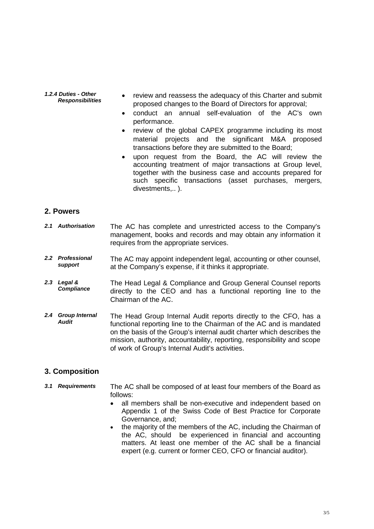#### *1.2.4 Duties - Other* review and reassess the adequacy of this Charter and submit proposed changes to the Board of Directors for approval;

- conduct an annual self-evaluation of the AC's own performance.
- review of the global CAPEX programme including its most material projects and the significant M&A proposed transactions before they are submitted to the Board;
- upon request from the Board, the AC will review the accounting treatment of major transactions at Group level, together with the business case and accounts prepared for such specific transactions (asset purchases, mergers, divestments...).

### **2. Powers**

- *2.1 Authorisation* The AC has complete and unrestricted access to the Company's management, books and records and may obtain any information it requires from the appropriate services.
- *2.2 Professional*  The AC may appoint independent legal, accounting or other counsel, at the Company's expense, if it thinks it appropriate.
- *2.3 Legal & Compliance* The Head Legal & Compliance and Group General Counsel reports directly to the CEO and has a functional reporting line to the Chairman of the AC.
- *2.4 Group Internal Audit*  The Head Group Internal Audit reports directly to the CFO, has a functional reporting line to the Chairman of the AC and is mandated on the basis of the Group's internal audit charter which describes the mission, authority, accountability, reporting, responsibility and scope of work of Group's Internal Audit's activities.

## **3. Composition**

- *3.1 Requirements* The AC shall be composed of at least four members of the Board as follows:
	- all members shall be non-executive and independent based on Appendix 1 of the Swiss Code of Best Practice for Corporate Governance, and;
	- the majority of the members of the AC, including the Chairman of the AC, should be experienced in financial and accounting matters. At least one member of the AC shall be a financial expert (e.g. current or former CEO, CFO or financial auditor).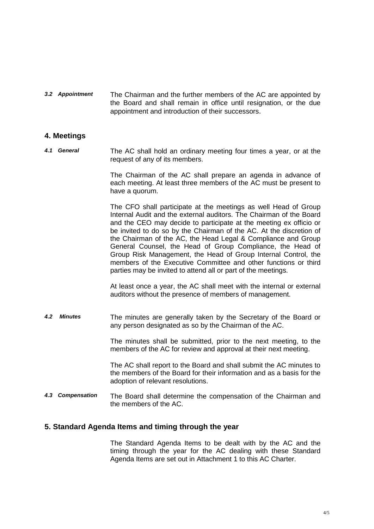*3.2 Appointment* The Chairman and the further members of the AC are appointed by the Board and shall remain in office until resignation, or the due appointment and introduction of their successors.

#### **4. Meetings**

*4.1 General* The AC shall hold an ordinary meeting four times a year, or at the request of any of its members.

> The Chairman of the AC shall prepare an agenda in advance of each meeting. At least three members of the AC must be present to have a quorum.

> The CFO shall participate at the meetings as well Head of Group Internal Audit and the external auditors. The Chairman of the Board and the CEO may decide to participate at the meeting ex officio or be invited to do so by the Chairman of the AC. At the discretion of the Chairman of the AC, the Head Legal & Compliance and Group General Counsel, the Head of Group Compliance, the Head of Group Risk Management, the Head of Group Internal Control, the members of the Executive Committee and other functions or third parties may be invited to attend all or part of the meetings.

> At least once a year, the AC shall meet with the internal or external auditors without the presence of members of management.

*4.2 Minutes* The minutes are generally taken by the Secretary of the Board or any person designated as so by the Chairman of the AC.

> The minutes shall be submitted, prior to the next meeting, to the members of the AC for review and approval at their next meeting.

> The AC shall report to the Board and shall submit the AC minutes to the members of the Board for their information and as a basis for the adoption of relevant resolutions.

*4.3 Compensation* The Board shall determine the compensation of the Chairman and the members of the AC.

#### **5. Standard Agenda Items and timing through the year**

The Standard Agenda Items to be dealt with by the AC and the timing through the year for the AC dealing with these Standard Agenda Items are set out in Attachment 1 to this AC Charter.